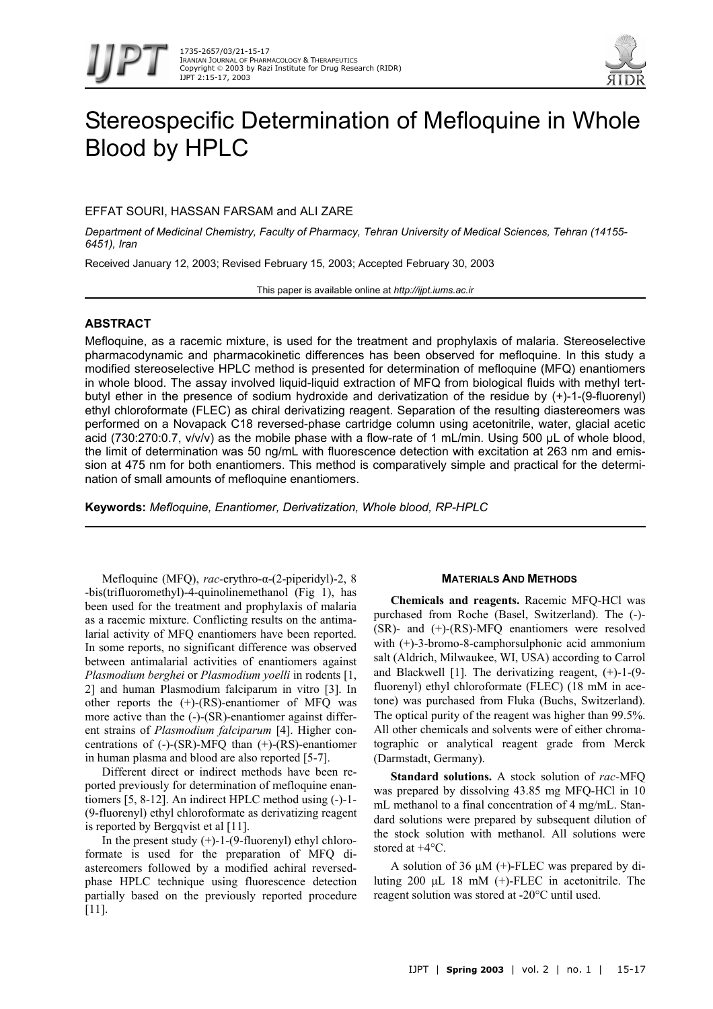



# Stereospecific Determination of Mefloquine in Whole Blood by HPLC

## EFFAT SOURI, HASSAN FARSAM and ALI ZARE

*Department of Medicinal Chemistry, Faculty of Pharmacy, Tehran University of Medical Sciences, Tehran (14155- 6451), Iran* 

Received January 12, 2003; Revised February 15, 2003; Accepted February 30, 2003

This paper is available online at *http://ijpt.iums.ac.ir*

# **ABSTRACT**

Mefloquine, as a racemic mixture, is used for the treatment and prophylaxis of malaria. Stereoselective pharmacodynamic and pharmacokinetic differences has been observed for mefloquine. In this study a modified stereoselective HPLC method is presented for determination of mefloquine (MFQ) enantiomers in whole blood. The assay involved liquid-liquid extraction of MFQ from biological fluids with methyl tertbutyl ether in the presence of sodium hydroxide and derivatization of the residue by (+)-1-(9-fluorenyl) ethyl chloroformate (FLEC) as chiral derivatizing reagent. Separation of the resulting diastereomers was performed on a Novapack C18 reversed-phase cartridge column using acetonitrile, water, glacial acetic acid (730:270:0.7, v/v/v) as the mobile phase with a flow-rate of 1 mL/min. Using 500 µL of whole blood, the limit of determination was 50 ng/mL with fluorescence detection with excitation at 263 nm and emission at 475 nm for both enantiomers. This method is comparatively simple and practical for the determination of small amounts of mefloquine enantiomers.

**Keywords:** *Mefloquine, Enantiomer, Derivatization, Whole blood, RP-HPLC* 

Mefloquine (MFQ), *rac-*erythro-α-(2-piperidyl)-2, 8 -bis(trifluoromethyl)-4-quinolinemethanol [\(Fig](#page-1-0) 1), has been used for the treatment and prophylaxis of malaria as a racemic mixture. Conflicting results on the antimalarial activity of MFQ enantiomers have been reported. In some reports, no significant difference was observed between antimalarial activities of enantiomers against *Plasmodium berghei* or *Plasmodium yoelli* in rodents [1, 2] and human Plasmodium falciparum in vitro [3]. In other reports the (+)-(RS)-enantiomer of MFQ was more active than the  $(-)$ -(SR)-enantiomer against different strains of *Plasmodium falciparum* [4]. Higher concentrations of (-)-(SR)-MFQ than (+)-(RS)-enantiomer in human plasma and blood are also reported [5-7].

Different direct or indirect methods have been reported previously for determination of mefloquine enantiomers [5, 8-12]. An indirect HPLC method using (-)-1- (9-fluorenyl) ethyl chloroformate as derivatizing reagent is reported by Bergqvist et al [11].

In the present study  $(+)$ -1- $(9$ -fluorenyl) ethyl chloroformate is used for the preparation of MFQ diastereomers followed by a modified achiral reversedphase HPLC technique using fluorescence detection partially based on the previously reported procedure [11].

#### **MATERIALS AND METHODS**

**Chemicals and reagents.** Racemic MFQ-HCl was purchased from Roche (Basel, Switzerland). The (-)- (SR)- and (+)-(RS)-MFQ enantiomers were resolved with (+)-3-bromo-8-camphorsulphonic acid ammonium salt (Aldrich, Milwaukee, WI, USA) according to Carrol and Blackwell [1]. The derivatizing reagent, (+)-1-(9 fluorenyl) ethyl chloroformate (FLEC) (18 mM in acetone) was purchased from Fluka (Buchs, Switzerland). The optical purity of the reagent was higher than 99.5%. All other chemicals and solvents were of either chromatographic or analytical reagent grade from Merck (Darmstadt, Germany).

**Standard solutions.** A stock solution of *rac-*MFQ was prepared by dissolving 43.85 mg MFQ-HCl in 10 mL methanol to a final concentration of 4 mg/mL. Standard solutions were prepared by subsequent dilution of the stock solution with methanol. All solutions were stored at +4°C.

A solution of 36  $\mu$ M (+)-FLEC was prepared by diluting 200 µL 18 mM (+)-FLEC in acetonitrile. The reagent solution was stored at -20°C until used.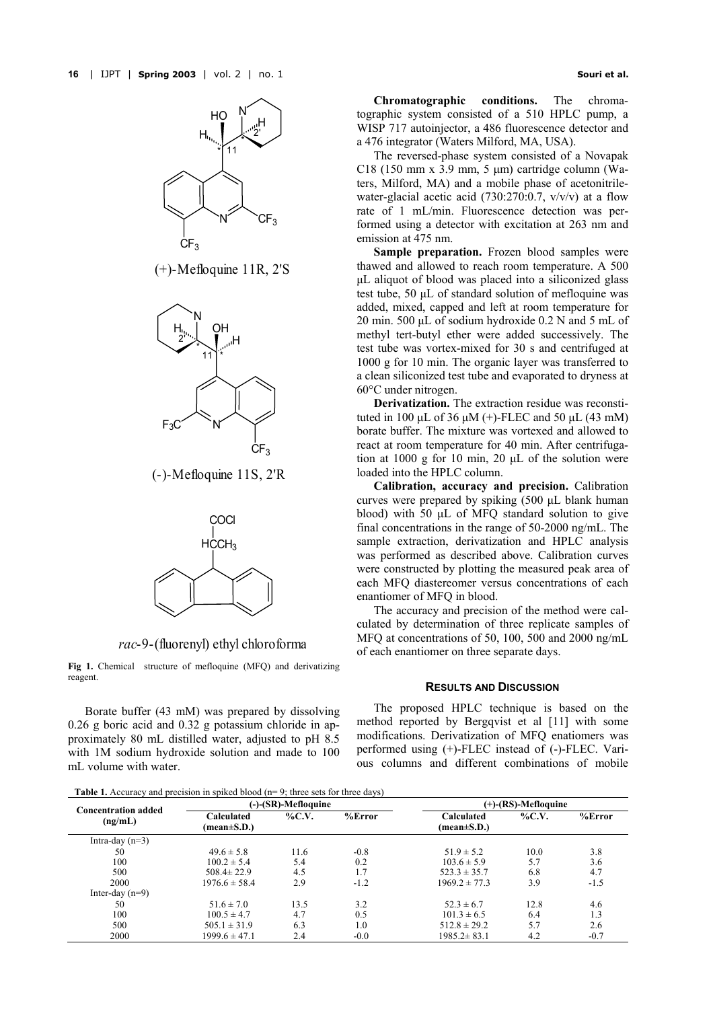<span id="page-1-0"></span>

(+)-Mefloquine 11R, 2'S



(-)-Mefloquine 11S, 2'R



*rac*-9-(fluorenyl) ethyl chloroforma

**Fig 1.** Chemical structure of mefloquine (MFQ) and derivatizing reagent.

Borate buffer (43 mM) was prepared by dissolving 0.26 g boric acid and 0.32 g potassium chloride in approximately 80 mL distilled water, adjusted to pH 8.5 with 1M sodium hydroxide solution and made to 100 mL volume with water.

**Chromatographic conditions.** The chromatographic system consisted of a 510 HPLC pump, a WISP 717 autoinjector, a 486 fluorescence detector and a 476 integrator (Waters Milford, MA, USA).

The reversed-phase system consisted of a Novapak C18 (150 mm x 3.9 mm, 5 µm) cartridge column (Waters, Milford, MA) and a mobile phase of acetonitrilewater-glacial acetic acid (730:270:0.7,  $v/v/v$ ) at a flow rate of 1 mL/min. Fluorescence detection was performed using a detector with excitation at 263 nm and emission at 475 nm.

**Sample preparation.** Frozen blood samples were thawed and allowed to reach room temperature. A 500 µL aliquot of blood was placed into a siliconized glass test tube, 50 µL of standard solution of mefloquine was added, mixed, capped and left at room temperature for 20 min. 500 µL of sodium hydroxide 0.2 N and 5 mL of methyl tert-butyl ether were added successively. The test tube was vortex-mixed for 30 s and centrifuged at 1000 g for 10 min. The organic layer was transferred to a clean siliconized test tube and evaporated to dryness at 60°C under nitrogen.

**Derivatization.** The extraction residue was reconstituted in 100  $\mu$ L of 36  $\mu$ M (+)-FLEC and 50  $\mu$ L (43 mM) borate buffer. The mixture was vortexed and allowed to react at room temperature for 40 min. After centrifugation at 1000 g for 10 min, 20 µL of the solution were loaded into the HPLC column.

**Calibration, accuracy and precision.** Calibration curves were prepared by spiking (500 µL blank human blood) with 50  $\mu$ L of MFQ standard solution to give final concentrations in the range of 50-2000 ng/mL. The sample extraction, derivatization and HPLC analysis was performed as described above. Calibration curves were constructed by plotting the measured peak area of each MFQ diastereomer versus concentrations of each enantiomer of MFQ in blood.

The accuracy and precision of the method were calculated by determination of three replicate samples of MFQ at concentrations of 50, 100, 500 and 2000 ng/mL of each enantiomer on three separate days.

## **RESULTS AND DISCUSSION**

The proposed HPLC technique is based on the method reported by Bergqvist et al [11] with some modifications. Derivatization of MFQ enatiomers was performed using (+)-FLEC instead of (-)-FLEC. Various columns and different combinations of mobile

<span id="page-1-1"></span>

| <b>Table 1.</b> Accuracy and precision in spiked blood $(n=9)$ ; three sets for three days) |  |  |
|---------------------------------------------------------------------------------------------|--|--|
|                                                                                             |  |  |

| <b>Concentration added</b><br>(ng/mL) |                          | $(-)$ - $(SR)$ -Mefloquine |           |                   | (+)-(RS)-Mefloquine |           |  |
|---------------------------------------|--------------------------|----------------------------|-----------|-------------------|---------------------|-----------|--|
|                                       | Calculated               | $\%$ C.V.                  | $%$ Error | Calculated        | $\%$ C.V.           | $%$ Error |  |
|                                       | $(\text{mean} \pm S.D.)$ |                            |           | (mean±S.D.)       |                     |           |  |
| Intra-day $(n=3)$                     |                          |                            |           |                   |                     |           |  |
| 50                                    | $49.6 \pm 5.8$           | 11.6                       | $-0.8$    | $51.9 \pm 5.2$    | 10.0                | 3.8       |  |
| 100                                   | $100.2 \pm 5.4$          | 5.4                        | 0.2       | $103.6 \pm 5.9$   | 5.7                 | 3.6       |  |
| 500                                   | $508.4 \pm 22.9$         | 4.5                        | 1.7       | $523.3 \pm 35.7$  | 6.8                 | 4.7       |  |
| 2000                                  | $1976.6 \pm 58.4$        | 2.9                        | $-1.2$    | $1969.2 \pm 77.3$ | 3.9                 | $-1.5$    |  |
| Inter-day $(n=9)$                     |                          |                            |           |                   |                     |           |  |
| 50                                    | $51.6 \pm 7.0$           | 13.5                       | 3.2       | $52.3 \pm 6.7$    | 12.8                | 4.6       |  |
| 100                                   | $100.5 \pm 4.7$          | 4.7                        | 0.5       | $101.3 \pm 6.5$   | 6.4                 | 1.3       |  |
| 500                                   | $505.1 \pm 31.9$         | 6.3                        | 1.0       | $512.8 \pm 29.2$  | 5.7                 | 2.6       |  |
| 2000                                  | $1999.6 \pm 47.1$        | 2.4                        | $-0.0$    | $1985.2 \pm 83.1$ | 4.2                 | $-0.7$    |  |